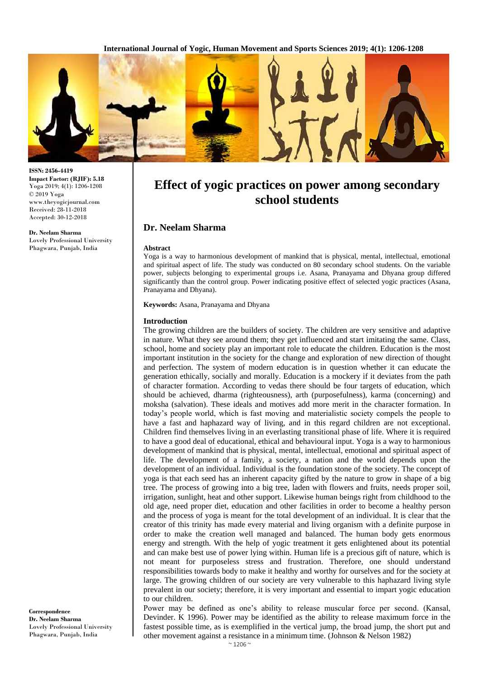**International Journal of Yogic, Human Movement and Sports Sciences 2019; 4(1): 1206-1208**



**ISSN: 2456-4419 Impact Factor: (RJIF): 5.18** Yoga 2019; 4(1): 1206-1208 © 2019 Yoga www.theyogicjournal.com Received: 28-11-2018 Accepted: 30-12-2018

**Dr. Neelam Sharma** Lovely Professional University Phagwara, Punjab, India

# **Effect of yogic practices on power among secondary school students**

# **Dr. Neelam Sharma**

#### **Abstract**

Yoga is a way to harmonious development of mankind that is physical, mental, intellectual, emotional and spiritual aspect of life. The study was conducted on 80 secondary school students. On the variable power, subjects belonging to experimental groups i.e. Asana, Pranayama and Dhyana group differed significantly than the control group. Power indicating positive effect of selected yogic practices (Asana, Pranayama and Dhyana).

**Keywords:** Asana, Pranayama and Dhyana

#### **Introduction**

The growing children are the builders of society. The children are very sensitive and adaptive in nature. What they see around them; they get influenced and start imitating the same. Class, school, home and society play an important role to educate the children. Education is the most important institution in the society for the change and exploration of new direction of thought and perfection. The system of modern education is in question whether it can educate the generation ethically, socially and morally. Education is a mockery if it deviates from the path of character formation. According to vedas there should be four targets of education, which should be achieved, dharma (righteousness), arth (purposefulness), karma (concerning) and moksha (salvation). These ideals and motives add more merit in the character formation. In today's people world, which is fast moving and materialistic society compels the people to have a fast and haphazard way of living, and in this regard children are not exceptional. Children find themselves living in an everlasting transitional phase of life. Where it is required to have a good deal of educational, ethical and behavioural input. Yoga is a way to harmonious development of mankind that is physical, mental, intellectual, emotional and spiritual aspect of life. The development of a family, a society, a nation and the world depends upon the development of an individual. Individual is the foundation stone of the society. The concept of yoga is that each seed has an inherent capacity gifted by the nature to grow in shape of a big tree. The process of growing into a big tree, laden with flowers and fruits, needs proper soil, irrigation, sunlight, heat and other support. Likewise human beings right from childhood to the old age, need proper diet, education and other facilities in order to become a healthy person and the process of yoga is meant for the total development of an individual. It is clear that the creator of this trinity has made every material and living organism with a definite purpose in order to make the creation well managed and balanced. The human body gets enormous energy and strength. With the help of yogic treatment it gets enlightened about its potential and can make best use of power lying within. Human life is a precious gift of nature, which is not meant for purposeless stress and frustration. Therefore, one should understand responsibilities towards body to make it healthy and worthy for ourselves and for the society at large. The growing children of our society are very vulnerable to this haphazard living style prevalent in our society; therefore, it is very important and essential to impart yogic education to our children.

Power may be defined as one's ability to release muscular force per second. (Kansal, Devinder. K 1996). Power may be identified as the ability to release maximum force in the fastest possible time, as is exemplified in the vertical jump, the broad jump, the short put and other movement against a resistance in a minimum time. (Johnson & Nelson 1982)

**Correspondence Dr. Neelam Sharma** Lovely Professional University Phagwara, Punjab, India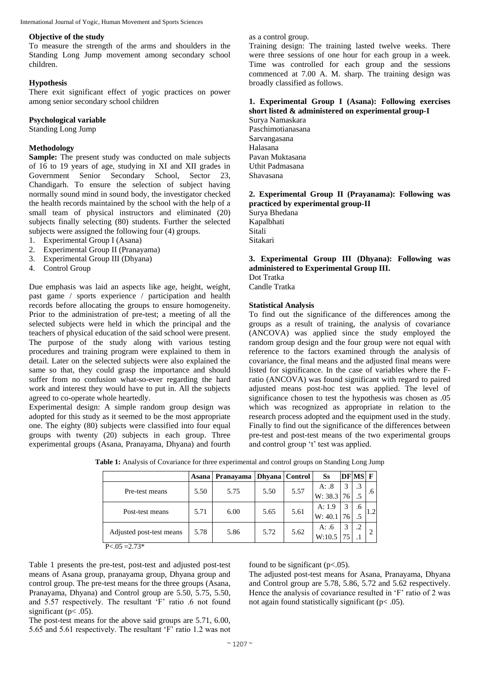#### **Objective of the study**

To measure the strength of the arms and shoulders in the Standing Long Jump movement among secondary school children.

## **Hypothesis**

There exit significant effect of yogic practices on power among senior secondary school children

## **Psychological variable**

Standing Long Jump

### **Methodology**

**Sample:** The present study was conducted on male subjects of 16 to 19 years of age, studying in XI and XII grades in Government Senior Secondary School, Sector 23, Chandigarh. To ensure the selection of subject having normally sound mind in sound body, the investigator checked the health records maintained by the school with the help of a small team of physical instructors and eliminated (20) subjects finally selecting (80) students. Further the selected subjects were assigned the following four (4) groups.

- 1. Experimental Group I (Asana)
- 2. Experimental Group II (Pranayama)
- 3. Experimental Group III (Dhyana)
- 4. Control Group

Due emphasis was laid an aspects like age, height, weight, past game / sports experience / participation and health records before allocating the groups to ensure homogeneity. Prior to the administration of pre-test; a meeting of all the selected subjects were held in which the principal and the teachers of physical education of the said school were present. The purpose of the study along with various testing procedures and training program were explained to them in detail. Later on the selected subjects were also explained the same so that, they could grasp the importance and should suffer from no confusion what-so-ever regarding the hard work and interest they would have to put in. All the subjects agreed to co-operate whole heartedly.

Experimental design: A simple random group design was adopted for this study as it seemed to be the most appropriate one. The eighty (80) subjects were classified into four equal groups with twenty (20) subjects in each group. Three experimental groups (Asana, Pranayama, Dhyana) and fourth

as a control group.

Training design: The training lasted twelve weeks. There were three sessions of one hour for each group in a week. Time was controlled for each group and the sessions commenced at 7.00 A. M. sharp. The training design was broadly classified as follows.

# **1. Experimental Group I (Asana): Following exercises short listed & administered on experimental group-I**

Surya Namaskara Paschimotianasana Sarvangasana Halasana Pavan Muktasana Uthit Padmasana Shavasana

#### **2. Experimental Group II (Prayanama): Following was practiced by experimental group-II**

Surya Bhedana Kapalbhati Sitali Sitakari

#### **3. Experimental Group III (Dhyana): Following was administered to Experimental Group III.** Dot Tratka

Candle Tratka

### **Statistical Analysis**

To find out the significance of the differences among the groups as a result of training, the analysis of covariance (ANCOVA) was applied since the study employed the random group design and the four group were not equal with reference to the factors examined through the analysis of covariance, the final means and the adjusted final means were listed for significance. In the case of variables where the Fratio (ANCOVA) was found significant with regard to paired adjusted means post-hoc test was applied. The level of significance chosen to test the hypothesis was chosen as .05 which was recognized as appropriate in relation to the research process adopted and the equipment used in the study. Finally to find out the significance of the differences between pre-test and post-test means of the two experimental groups and control group 't' test was applied.

|                          | Asana | Pranayama | Dhyana   Control |      | Ss      |    | <b>DFMS</b> F |                |
|--------------------------|-------|-----------|------------------|------|---------|----|---------------|----------------|
| Pre-test means           | 5.50  | 5.75      | 5.50             | 5.57 | A: .8   | 3  | .3            | .6             |
|                          |       |           |                  |      | W: 38.3 | 76 |               |                |
|                          | 5.71  | 6.00      | 5.65             | 5.61 | A: 1.9  | 3  | .6            |                |
| Post-test means          |       |           |                  |      | W: 40.1 | 76 |               |                |
|                          | 5.78  | 5.86      | 5.72             | 5.62 | A: $.6$ | 3  | .2            |                |
| Adjusted post-test means |       |           |                  |      | W:10.5  |    |               | $\overline{2}$ |
| $P < 0.05 = 2.73*$       |       |           |                  |      |         |    |               |                |

**Table 1:** Analysis of Covariance for three experimental and control groups on Standing Long Jump

Table 1 presents the pre-test, post-test and adjusted post-test means of Asana group, pranayama group, Dhyana group and control group. The pre-test means for the three groups (Asana, Pranayama, Dhyana) and Control group are 5.50, 5.75, 5.50, and 5.57 respectively. The resultant 'F' ratio .6 not found significant (p< .05).

The post-test means for the above said groups are 5.71, 6.00, 5.65 and 5.61 respectively. The resultant 'F' ratio 1.2 was not found to be significant  $(p<.05)$ .

The adjusted post-test means for Asana, Pranayama, Dhyana and Control group are 5.78, 5.86, 5.72 and 5.62 respectively. Hence the analysis of covariance resulted in 'F' ratio of 2 was not again found statistically significant ( $p < .05$ ).